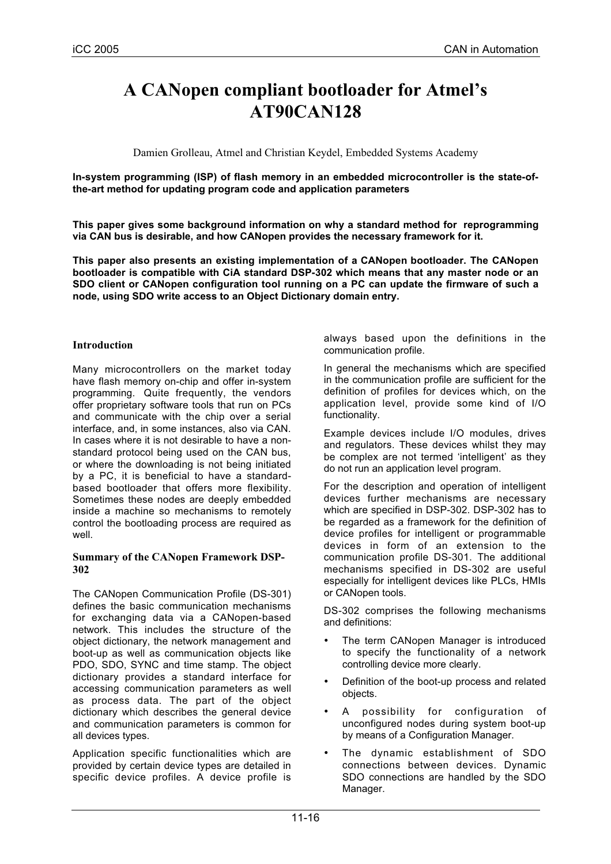# **A CANopen compliant bootloader for Atmel's AT90CAN128**

Damien Grolleau, Atmel and Christian Keydel, Embedded Systems Academy

**In-system programming (ISP) of flash memory in an embedded microcontroller is the state-ofthe-art method for updating program code and application parameters**

**This paper gives some background information on why a standard method for reprogramming via CAN bus is desirable, and how CANopen provides the necessary framework for it.**

**This paper also presents an existing implementation of a CANopen bootloader. The CANopen bootloader is compatible with CiA standard DSP-302 which means that any master node or an SDO client or CANopen configuration tool running on a PC can update the firmware of such a node, using SDO write access to an Object Dictionary domain entry.**

#### **Introduction**

Many microcontrollers on the market today have flash memory on-chip and offer in-system programming. Quite frequently, the vendors offer proprietary software tools that run on PCs and communicate with the chip over a serial interface, and, in some instances, also via CAN. In cases where it is not desirable to have a nonstandard protocol being used on the CAN bus, or where the downloading is not being initiated by a PC, it is beneficial to have a standardbased bootloader that offers more flexibility. Sometimes these nodes are deeply embedded inside a machine so mechanisms to remotely control the bootloading process are required as well.

#### **Summary of the CANopen Framework DSP-302**

The CANopen Communication Profile (DS-301) defines the basic communication mechanisms for exchanging data via a CANopen-based network. This includes the structure of the object dictionary, the network management and boot-up as well as communication objects like PDO, SDO, SYNC and time stamp. The object dictionary provides a standard interface for accessing communication parameters as well as process data. The part of the object dictionary which describes the general device and communication parameters is common for all devices types.

Application specific functionalities which are provided by certain device types are detailed in specific device profiles. A device profile is

always based upon the definitions in the communication profile.

In general the mechanisms which are specified in the communication profile are sufficient for the definition of profiles for devices which, on the application level, provide some kind of I/O functionality.

Example devices include I/O modules, drives and regulators. These devices whilst they may be complex are not termed 'intelligent' as they do not run an application level program.

For the description and operation of intelligent devices further mechanisms are necessary which are specified in DSP-302. DSP-302 has to be regarded as a framework for the definition of device profiles for intelligent or programmable devices in form of an extension to the communication profile DS-301. The additional mechanisms specified in DS-302 are useful especially for intelligent devices like PLCs, HMIs or CANopen tools.

DS-302 comprises the following mechanisms and definitions:

- The term CANopen Manager is introduced to specify the functionality of a network controlling device more clearly.
- Definition of the boot-up process and related objects.
- A possibility for configuration of unconfigured nodes during system boot-up by means of a Configuration Manager.
- The dynamic establishment of SDO connections between devices. Dynamic SDO connections are handled by the SDO Manager.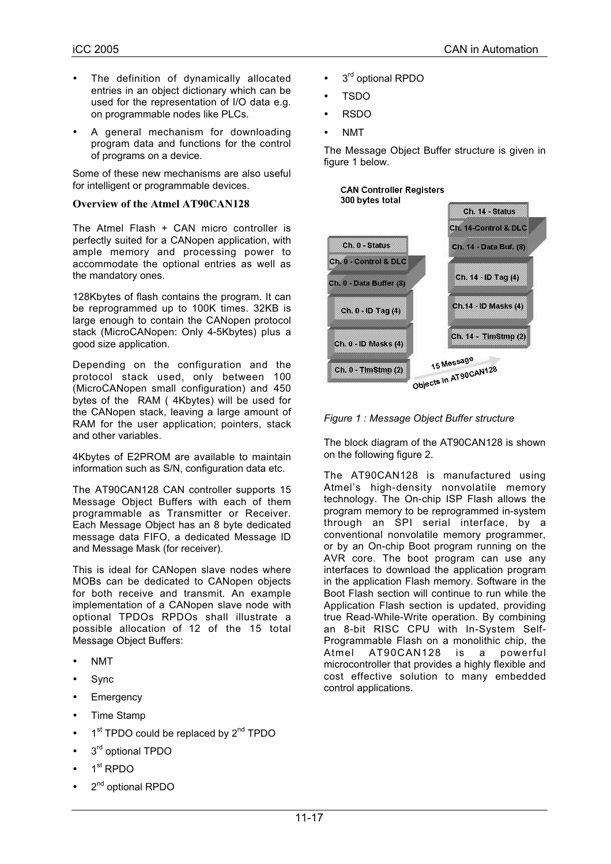- The definition of dynamically allocated entries in an object dictionary which can be used for the representation of I/O data e.g. on programmable nodes like PLCs.
- A general mechanism for downloading program data and functions for the control of programs on a device.

Some of these new mechanisms are also useful for intelligent or programmable devices.

#### **Overview of the Atmel AT90CAN128**

The Atmel Flash + CAN micro controller is perfectly suited for a CANopen application, with ample memory and processing power to accommodate the optional entries as well as the mandatory ones.

128Kbytes of flash contains the program. It can be reprogrammed up to 100K times. 32KB is large enough to contain the CANopen protocol stack (MicroCANopen: Only 4-5Kbytes) plus a good size application.

Depending on the configuration and the protocol stack used, only between 100 (MicroCANopen small configuration) and 450 bytes of the RAM ( 4Kbytes) will be used for the CANopen stack, leaving a large amount of RAM for the user application; pointers, stack and other variables.

4Kbytes of E2PROM are available to maintain information such as S/N, configuration data etc.

The AT90CAN128 CAN controller supports 15 Message Object Buffers with each of them programmable as Transmitter or Receiver. Each Message Object has an 8 byte dedicated message data FIFO, a dedicated Message ID and Message Mask (for receiver).

This is ideal for CANopen slave nodes where MOBs can be dedicated to CANopen objects for both receive and transmit. An example implementation of a CANopen slave node with optional TPDOs RPDOs shall illustrate a possible allocation of 12 of the 15 total Message Object Buffers:

- NMT
- Sync
- **Emergency**
- Time Stamp
- 1<sup>st</sup> TPDO could be replaced by 2<sup>nd</sup> TPDO
- $3<sup>rd</sup>$  optional TPDO
- 1<sup>st</sup> RPDO
- 2<sup>nd</sup> optional RPDO
- $3<sup>rd</sup>$  optional RPDO
- TSDO
- RSDO
- NMT

The Message Object Buffer structure is given in figure 1 below.





The block diagram of the AT90CAN128 is shown on the following figure 2.

The AT90CAN128 is manufactured using Atmel's high-density nonvolatile memory technology. The On-chip ISP Flash allows the program memory to be reprogrammed in-system through an SPI serial interface, by a conventional nonvolatile memory programmer, or by an On-chip Boot program running on the AVR core. The boot program can use any interfaces to download the application program in the application Flash memory. Software in the Boot Flash section will continue to run while the Application Flash section is updated, providing true Read-While-Write operation. By combining an 8-bit RISC CPU with In-System Self-Programmable Flash on a monolithic chip, the Atmel AT90CAN128 is a microcontroller that provides a highly flexible and cost effective solution to many embedded control applications.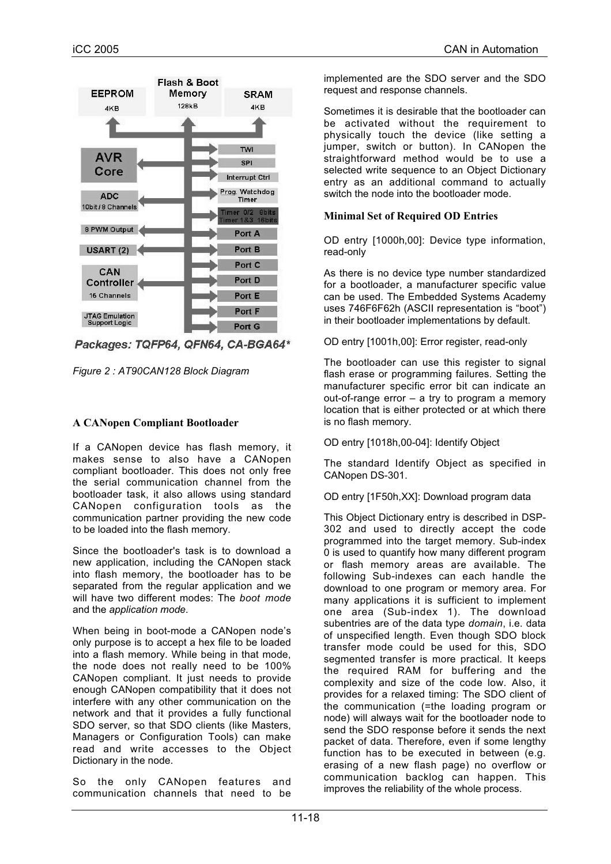

Packages: TQFP64, QFN64, CA-BGA64\*



## **A CANopen Compliant Bootloader**

If a CANopen device has flash memory, it makes sense to also have a CANopen compliant bootloader. This does not only free the serial communication channel from the bootloader task, it also allows using standard CANopen configuration tools as the communication partner providing the new code to be loaded into the flash memory.

Since the bootloader's task is to download a new application, including the CANopen stack into flash memory, the bootloader has to be separated from the regular application and we will have two different modes: The *boot mode* and the *application mode*.

When being in boot-mode a CANopen node's only purpose is to accept a hex file to be loaded into a flash memory. While being in that mode, the node does not really need to be 100% CANopen compliant. It just needs to provide enough CANopen compatibility that it does not interfere with any other communication on the network and that it provides a fully functional SDO server, so that SDO clients (like Masters, Managers or Configuration Tools) can make read and write accesses to the Object Dictionary in the node.

So the only CANopen features and communication channels that need to be implemented are the SDO server and the SDO request and response channels.

Sometimes it is desirable that the bootloader can be activated without the requirement to physically touch the device (like setting a jumper, switch or button). In CANopen the straightforward method would be to use a selected write sequence to an Object Dictionary entry as an additional command to actually switch the node into the bootloader mode.

## **Minimal Set of Required OD Entries**

OD entry [1000h,00]: Device type information, read-only

As there is no device type number standardized for a bootloader, a manufacturer specific value can be used. The Embedded Systems Academy uses 746F6F62h (ASCII representation is "boot") in their bootloader implementations by default.

OD entry [1001h,00]: Error register, read-only

The bootloader can use this register to signal flash erase or programming failures. Setting the manufacturer specific error bit can indicate an out-of-range error – a try to program a memory location that is either protected or at which there is no flash memory.

OD entry [1018h,00-04]: Identify Object

The standard Identify Object as specified in CANopen DS-301.

OD entry [1F50h,XX]: Download program data

This Object Dictionary entry is described in DSP-302 and used to directly accept the code programmed into the target memory. Sub-index 0 is used to quantify how many different program or flash memory areas are available. The following Sub-indexes can each handle the download to one program or memory area. For many applications it is sufficient to implement one area (Sub-index 1). The download subentries are of the data type *domain*, i.e. data of unspecified length. Even though SDO block transfer mode could be used for this, SDO segmented transfer is more practical. It keeps the required RAM for buffering and the complexity and size of the code low. Also, it provides for a relaxed timing: The SDO client of the communication (=the loading program or node) will always wait for the bootloader node to send the SDO response before it sends the next packet of data. Therefore, even if some lengthy function has to be executed in between (e.g. erasing of a new flash page) no overflow or communication backlog can happen. This improves the reliability of the whole process.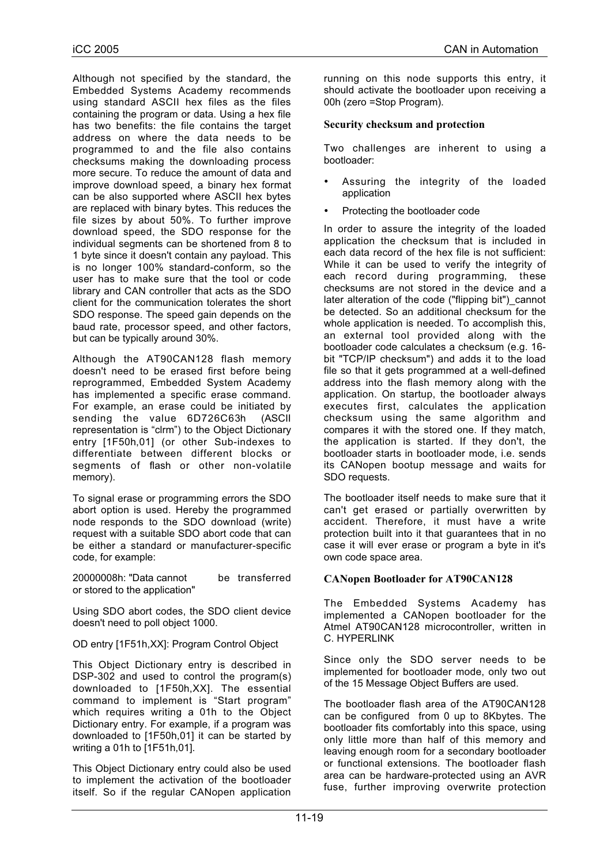Although not specified by the standard, the Embedded Systems Academy recommends using standard ASCII hex files as the files containing the program or data. Using a hex file has two benefits: the file contains the target address on where the data needs to be programmed to and the file also contains checksums making the downloading process more secure. To reduce the amount of data and improve download speed, a binary hex format can be also supported where ASCII hex bytes are replaced with binary bytes. This reduces the file sizes by about 50%. To further improve download speed, the SDO response for the individual segments can be shortened from 8 to 1 byte since it doesn't contain any payload. This is no longer 100% standard-conform, so the user has to make sure that the tool or code library and CAN controller that acts as the SDO client for the communication tolerates the short SDO response. The speed gain depends on the baud rate, processor speed, and other factors, but can be typically around 30%.

Although the AT90CAN128 flash memory doesn't need to be erased first before being reprogrammed, Embedded System Academy has implemented a specific erase command. For example, an erase could be initiated by sending the value 6D726C63h (ASCII representation is "clrm") to the Object Dictionary entry [1F50h,01] (or other Sub-indexes to differentiate between different blocks or segments of flash or other non-volatile memory).

To signal erase or programming errors the SDO abort option is used. Hereby the programmed node responds to the SDO download (write) request with a suitable SDO abort code that can be either a standard or manufacturer-specific code, for example:

20000008h: "Data cannot be transferred or stored to the application"

Using SDO abort codes, the SDO client device doesn't need to poll object 1000.

OD entry [1F51h,XX]: Program Control Object

This Object Dictionary entry is described in DSP-302 and used to control the program(s) downloaded to [1F50h,XX]. The essential command to implement is "Start program" which requires writing a 01h to the Object Dictionary entry. For example, if a program was downloaded to [1F50h,01] it can be started by writing a 01h to [1F51h,01].

This Object Dictionary entry could also be used to implement the activation of the bootloader itself. So if the regular CANopen application running on this node supports this entry, it should activate the bootloader upon receiving a 00h (zero =Stop Program).

## **Security checksum and protection**

Two challenges are inherent to using a bootloader:

- Assuring the integrity of the loaded application
- Protecting the bootloader code

In order to assure the integrity of the loaded application the checksum that is included in each data record of the hex file is not sufficient: While it can be used to verify the integrity of each record during programming, these checksums are not stored in the device and a later alteration of the code ("flipping bit") cannot be detected. So an additional checksum for the whole application is needed. To accomplish this, an external tool provided along with the bootloader code calculates a checksum (e.g. 16 bit "TCP/IP checksum") and adds it to the load file so that it gets programmed at a well-defined address into the flash memory along with the application. On startup, the bootloader always executes first, calculates the application checksum using the same algorithm and compares it with the stored one. If they match, the application is started. If they don't, the bootloader starts in bootloader mode, i.e. sends its CANopen bootup message and waits for SDO requests.

The bootloader itself needs to make sure that it can't get erased or partially overwritten by accident. Therefore, it must have a write protection built into it that guarantees that in no case it will ever erase or program a byte in it's own code space area.

## **CANopen Bootloader for AT90CAN128**

The Embedded Systems Academy has implemented a CANopen bootloader for the Atmel AT90CAN128 microcontroller, written in C. HYPERLINK

Since only the SDO server needs to be implemented for bootloader mode, only two out of the 15 Message Object Buffers are used.

The bootloader flash area of the AT90CAN128 can be configured from 0 up to 8Kbytes. The bootloader fits comfortably into this space, using only little more than half of this memory and leaving enough room for a secondary bootloader or functional extensions. The bootloader flash area can be hardware-protected using an AVR fuse, further improving overwrite protection